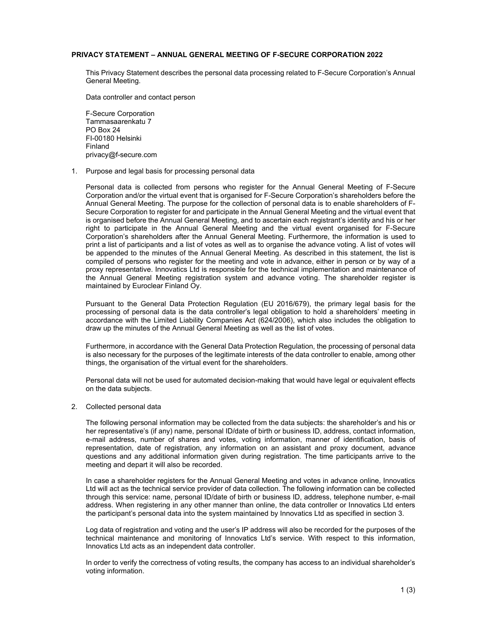## **PRIVACY STATEMENT – ANNUAL GENERAL MEETING OF F-SECURE CORPORATION 2022**

This Privacy Statement describes the personal data processing related to F-Secure Corporation's Annual General Meeting.

Data controller and contact person

F-Secure Corporation Tammasaarenkatu 7 PO Box 24 FI-00180 Helsinki Finland privacy@f-secure.com

## 1. Purpose and legal basis for processing personal data

Personal data is collected from persons who register for the Annual General Meeting of F-Secure Corporation and/or the virtual event that is organised for F-Secure Corporation's shareholders before the Annual General Meeting. The purpose for the collection of personal data is to enable shareholders of F-Secure Corporation to register for and participate in the Annual General Meeting and the virtual event that is organised before the Annual General Meeting, and to ascertain each registrant's identity and his or her right to participate in the Annual General Meeting and the virtual event organised for F-Secure Corporation's shareholders after the Annual General Meeting. Furthermore, the information is used to print a list of participants and a list of votes as well as to organise the advance voting. A list of votes will be appended to the minutes of the Annual General Meeting. As described in this statement, the list is compiled of persons who register for the meeting and vote in advance, either in person or by way of a proxy representative. Innovatics Ltd is responsible for the technical implementation and maintenance of the Annual General Meeting registration system and advance voting. The shareholder register is maintained by Euroclear Finland Oy.

Pursuant to the General Data Protection Regulation (EU 2016/679), the primary legal basis for the processing of personal data is the data controller's legal obligation to hold a shareholders' meeting in accordance with the Limited Liability Companies Act (624/2006), which also includes the obligation to draw up the minutes of the Annual General Meeting as well as the list of votes.

Furthermore, in accordance with the General Data Protection Regulation, the processing of personal data is also necessary for the purposes of the legitimate interests of the data controller to enable, among other things, the organisation of the virtual event for the shareholders.

Personal data will not be used for automated decision-making that would have legal or equivalent effects on the data subjects.

## 2. Collected personal data

The following personal information may be collected from the data subjects: the shareholder's and his or her representative's (if any) name, personal ID/date of birth or business ID, address, contact information, e-mail address, number of shares and votes, voting information, manner of identification, basis of representation, date of registration, any information on an assistant and proxy document, advance questions and any additional information given during registration. The time participants arrive to the meeting and depart it will also be recorded.

In case a shareholder registers for the Annual General Meeting and votes in advance online, Innovatics Ltd will act as the technical service provider of data collection. The following information can be collected through this service: name, personal ID/date of birth or business ID, address, telephone number, e-mail address. When registering in any other manner than online, the data controller or Innovatics Ltd enters the participant's personal data into the system maintained by Innovatics Ltd as specified in section 3.

Log data of registration and voting and the user's IP address will also be recorded for the purposes of the technical maintenance and monitoring of Innovatics Ltd's service. With respect to this information, Innovatics Ltd acts as an independent data controller.

In order to verify the correctness of voting results, the company has access to an individual shareholder's voting information.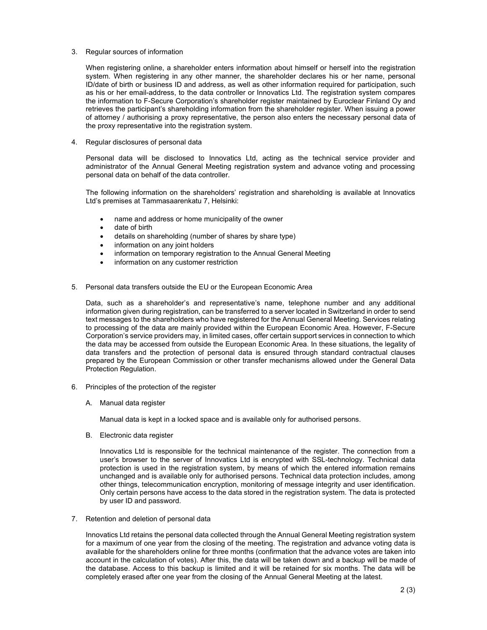3. Regular sources of information

When registering online, a shareholder enters information about himself or herself into the registration system. When registering in any other manner, the shareholder declares his or her name, personal ID/date of birth or business ID and address, as well as other information required for participation, such as his or her email-address, to the data controller or Innovatics Ltd. The registration system compares the information to F-Secure Corporation's shareholder register maintained by Euroclear Finland Oy and retrieves the participant's shareholding information from the shareholder register. When issuing a power of attorney / authorising a proxy representative, the person also enters the necessary personal data of the proxy representative into the registration system.

4. Regular disclosures of personal data

Personal data will be disclosed to Innovatics Ltd, acting as the technical service provider and administrator of the Annual General Meeting registration system and advance voting and processing personal data on behalf of the data controller.

The following information on the shareholders' registration and shareholding is available at Innovatics Ltd's premises at Tammasaarenkatu 7, Helsinki:

- name and address or home municipality of the owner
- date of birth
- details on shareholding (number of shares by share type)
- information on any joint holders
- information on temporary registration to the Annual General Meeting
- information on any customer restriction
- 5. Personal data transfers outside the EU or the European Economic Area

Data, such as a shareholder's and representative's name, telephone number and any additional information given during registration, can be transferred to a server located in Switzerland in order to send text messages to the shareholders who have registered for the Annual General Meeting. Services relating to processing of the data are mainly provided within the European Economic Area. However, F-Secure Corporation's service providers may, in limited cases, offer certain support services in connection to which the data may be accessed from outside the European Economic Area. In these situations, the legality of data transfers and the protection of personal data is ensured through standard contractual clauses prepared by the European Commission or other transfer mechanisms allowed under the General Data Protection Regulation.

- 6. Principles of the protection of the register
	- A. Manual data register

Manual data is kept in a locked space and is available only for authorised persons.

B. Electronic data register

Innovatics Ltd is responsible for the technical maintenance of the register. The connection from a user's browser to the server of Innovatics Ltd is encrypted with SSL-technology. Technical data protection is used in the registration system, by means of which the entered information remains unchanged and is available only for authorised persons. Technical data protection includes, among other things, telecommunication encryption, monitoring of message integrity and user identification. Only certain persons have access to the data stored in the registration system. The data is protected by user ID and password.

7. Retention and deletion of personal data

Innovatics Ltd retains the personal data collected through the Annual General Meeting registration system for a maximum of one year from the closing of the meeting. The registration and advance voting data is available for the shareholders online for three months (confirmation that the advance votes are taken into account in the calculation of votes). After this, the data will be taken down and a backup will be made of the database. Access to this backup is limited and it will be retained for six months. The data will be completely erased after one year from the closing of the Annual General Meeting at the latest.